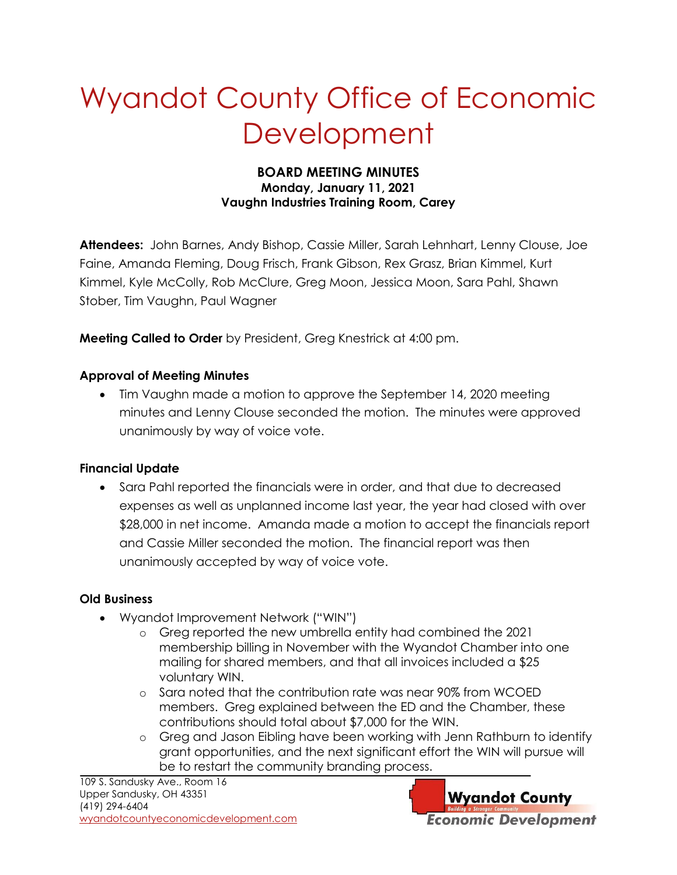# Wyandot County Office of Economic **Development**

#### **BOARD MEETING MINUTES Monday, January 11, 2021 Vaughn Industries Training Room, Carey**

**Attendees:** John Barnes, Andy Bishop, Cassie Miller, Sarah Lehnhart, Lenny Clouse, Joe Faine, Amanda Fleming, Doug Frisch, Frank Gibson, Rex Grasz, Brian Kimmel, Kurt Kimmel, Kyle McColly, Rob McClure, Greg Moon, Jessica Moon, Sara Pahl, Shawn Stober, Tim Vaughn, Paul Wagner

**Meeting Called to Order** by President, Greg Knestrick at 4:00 pm.

### **Approval of Meeting Minutes**

 Tim Vaughn made a motion to approve the September 14, 2020 meeting minutes and Lenny Clouse seconded the motion. The minutes were approved unanimously by way of voice vote.

## **Financial Update**

 Sara Pahl reported the financials were in order, and that due to decreased expenses as well as unplanned income last year, the year had closed with over \$28,000 in net income. Amanda made a motion to accept the financials report and Cassie Miller seconded the motion. The financial report was then unanimously accepted by way of voice vote.

## **Old Business**

- Wyandot Improvement Network ("WIN")
	- o Greg reported the new umbrella entity had combined the 2021 membership billing in November with the Wyandot Chamber into one mailing for shared members, and that all invoices included a \$25 voluntary WIN.
	- o Sara noted that the contribution rate was near 90% from WCOED members. Greg explained between the ED and the Chamber, these contributions should total about \$7,000 for the WIN.
	- o Greg and Jason Eibling have been working with Jenn Rathburn to identify grant opportunities, and the next significant effort the WIN will pursue will be to restart the community branding process.

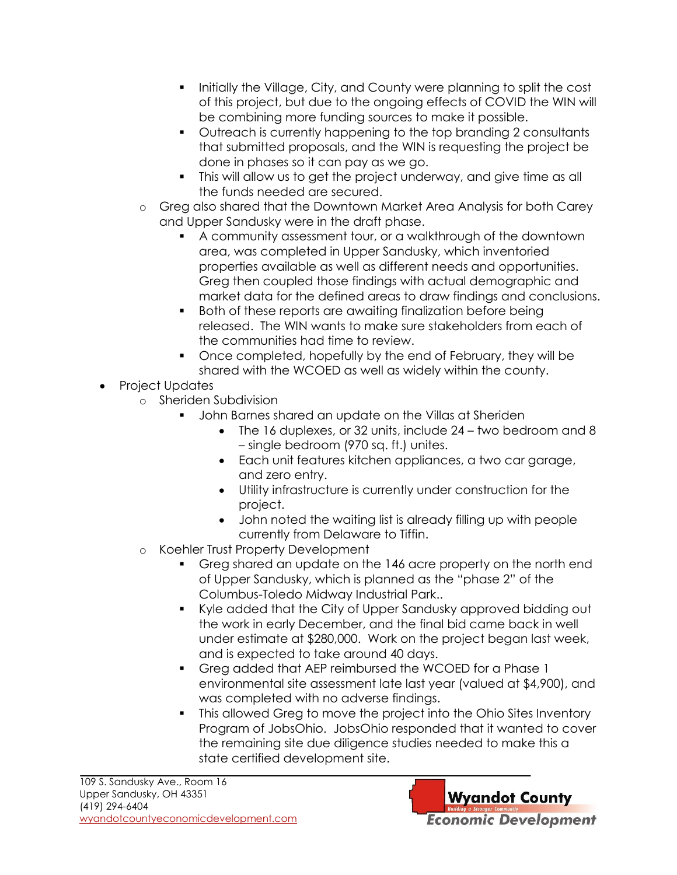- Initially the Village, City, and County were planning to split the cost of this project, but due to the ongoing effects of COVID the WIN will be combining more funding sources to make it possible.
- Outreach is currently happening to the top branding 2 consultants that submitted proposals, and the WIN is requesting the project be done in phases so it can pay as we go.
- This will allow us to get the project underway, and give time as all the funds needed are secured.
- o Greg also shared that the Downtown Market Area Analysis for both Carey and Upper Sandusky were in the draft phase.
	- A community assessment tour, or a walkthrough of the downtown area, was completed in Upper Sandusky, which inventoried properties available as well as different needs and opportunities. Greg then coupled those findings with actual demographic and market data for the defined areas to draw findings and conclusions.
	- **Both of these reports are awaiting finalization before being** released. The WIN wants to make sure stakeholders from each of the communities had time to review.
	- Once completed, hopefully by the end of February, they will be shared with the WCOED as well as widely within the county.
- Project Updates
	- o Sheriden Subdivision
		- John Barnes shared an update on the Villas at Sheriden
			- The 16 duplexes, or 32 units, include 24 two bedroom and 8 – single bedroom (970 sq. ft.) unites.
			- Each unit features kitchen appliances, a two car garage, and zero entry.
			- Utility infrastructure is currently under construction for the project.
			- John noted the waiting list is already filling up with people currently from Delaware to Tiffin.
	- o Koehler Trust Property Development
		- Greg shared an update on the 146 acre property on the north end of Upper Sandusky, which is planned as the "phase 2" of the Columbus-Toledo Midway Industrial Park..
		- Kyle added that the City of Upper Sandusky approved bidding out the work in early December, and the final bid came back in well under estimate at \$280,000. Work on the project began last week, and is expected to take around 40 days.
		- Greg added that AEP reimbursed the WCOED for a Phase 1 environmental site assessment late last year (valued at \$4,900), and was completed with no adverse findings.
		- This allowed Greg to move the project into the Ohio Sites Inventory Program of JobsOhio. JobsOhio responded that it wanted to cover the remaining site due diligence studies needed to make this a state certified development site.

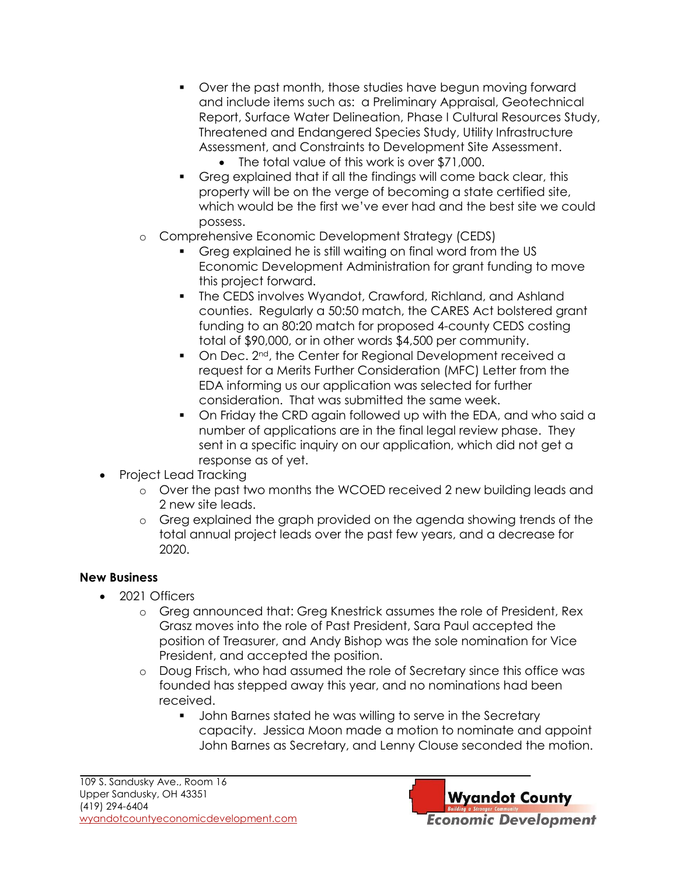- Over the past month, those studies have begun moving forward and include items such as: a Preliminary Appraisal, Geotechnical Report, Surface Water Delineation, Phase I Cultural Resources Study, Threatened and Endangered Species Study, Utility Infrastructure Assessment, and Constraints to Development Site Assessment.
	- The total value of this work is over \$71,000.
- Greg explained that if all the findings will come back clear, this property will be on the verge of becoming a state certified site, which would be the first we've ever had and the best site we could possess.
- o Comprehensive Economic Development Strategy (CEDS)
	- Greg explained he is still waiting on final word from the US Economic Development Administration for grant funding to move this project forward.
	- The CEDS involves Wyandot, Crawford, Richland, and Ashland counties. Regularly a 50:50 match, the CARES Act bolstered grant funding to an 80:20 match for proposed 4-county CEDS costing total of \$90,000, or in other words \$4,500 per community.
	- On Dec. 2<sup>nd</sup>, the Center for Regional Development received a request for a Merits Further Consideration (MFC) Letter from the EDA informing us our application was selected for further consideration. That was submitted the same week.
	- On Friday the CRD again followed up with the EDA, and who said a number of applications are in the final legal review phase. They sent in a specific inquiry on our application, which did not get a response as of yet.
- Project Lead Tracking
	- o Over the past two months the WCOED received 2 new building leads and 2 new site leads.
	- o Greg explained the graph provided on the agenda showing trends of the total annual project leads over the past few years, and a decrease for 2020.

#### **New Business**

- 2021 Officers
	- o Greg announced that: Greg Knestrick assumes the role of President, Rex Grasz moves into the role of Past President, Sara Paul accepted the position of Treasurer, and Andy Bishop was the sole nomination for Vice President, and accepted the position.
	- o Doug Frisch, who had assumed the role of Secretary since this office was founded has stepped away this year, and no nominations had been received.
		- **John Barnes stated he was willing to serve in the Secretary** capacity. Jessica Moon made a motion to nominate and appoint John Barnes as Secretary, and Lenny Clouse seconded the motion.

**Wyandot County Economic Development**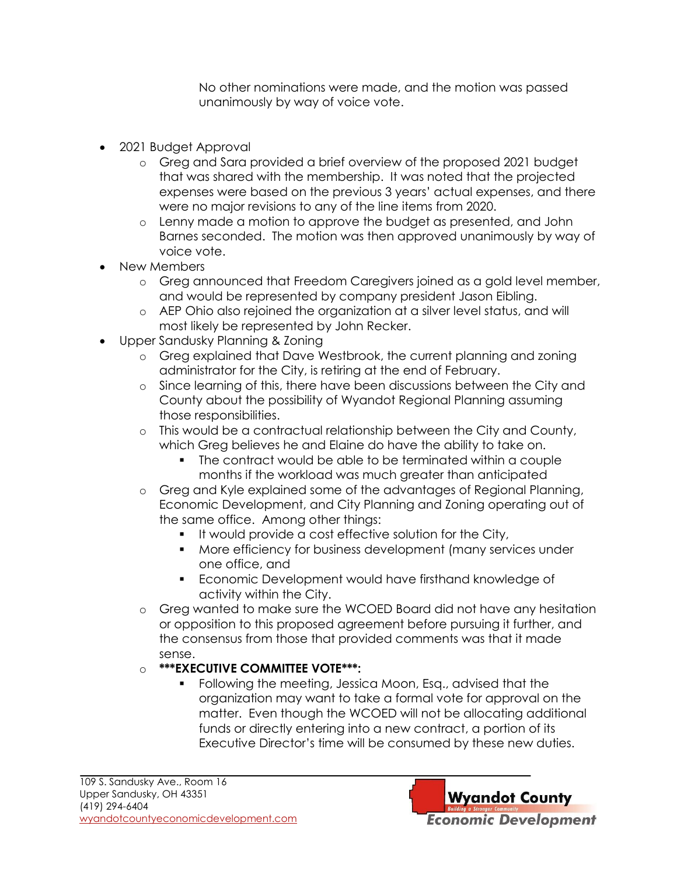No other nominations were made, and the motion was passed unanimously by way of voice vote.

- 2021 Budget Approval
	- o Greg and Sara provided a brief overview of the proposed 2021 budget that was shared with the membership. It was noted that the projected expenses were based on the previous 3 years' actual expenses, and there were no major revisions to any of the line items from 2020.
	- o Lenny made a motion to approve the budget as presented, and John Barnes seconded. The motion was then approved unanimously by way of voice vote.
- New Members
	- o Greg announced that Freedom Caregivers joined as a gold level member, and would be represented by company president Jason Eibling.
	- o AEP Ohio also rejoined the organization at a silver level status, and will most likely be represented by John Recker.
- Upper Sandusky Planning & Zoning
	- o Greg explained that Dave Westbrook, the current planning and zoning administrator for the City, is retiring at the end of February.
	- o Since learning of this, there have been discussions between the City and County about the possibility of Wyandot Regional Planning assuming those responsibilities.
	- o This would be a contractual relationship between the City and County, which Greg believes he and Elaine do have the ability to take on.
		- The contract would be able to be terminated within a couple months if the workload was much greater than anticipated
	- o Greg and Kyle explained some of the advantages of Regional Planning, Economic Development, and City Planning and Zoning operating out of the same office. Among other things:
		- **If would provide a cost effective solution for the City,**
		- **More efficiency for business development (many services under** one office, and
		- **Economic Development would have firsthand knowledge of** activity within the City.
	- o Greg wanted to make sure the WCOED Board did not have any hesitation or opposition to this proposed agreement before pursuing it further, and the consensus from those that provided comments was that it made sense.

#### o **\*\*\*EXECUTIVE COMMITTEE VOTE\*\*\*:**

 Following the meeting, Jessica Moon, Esq., advised that the organization may want to take a formal vote for approval on the matter. Even though the WCOED will not be allocating additional funds or directly entering into a new contract, a portion of its Executive Director's time will be consumed by these new duties.

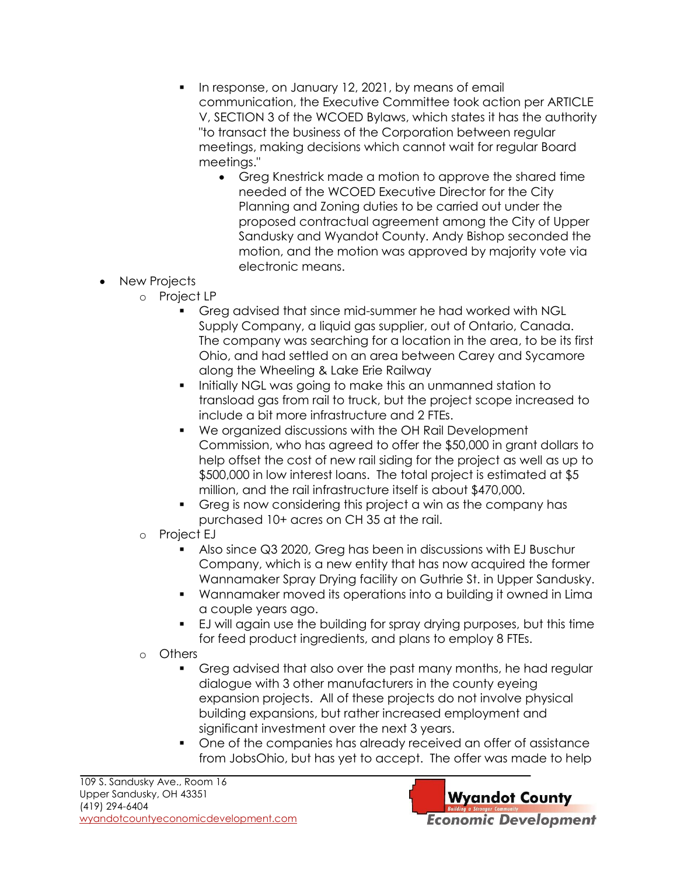- In response, on January 12, 2021, by means of email communication, the Executive Committee took action per ARTICLE V, SECTION 3 of the WCOED Bylaws, which states it has the authority "to transact the business of the Corporation between regular meetings, making decisions which cannot wait for regular Board meetings."
	- Greg Knestrick made a motion to approve the shared time needed of the WCOED Executive Director for the City Planning and Zoning duties to be carried out under the proposed contractual agreement among the City of Upper Sandusky and Wyandot County. Andy Bishop seconded the motion, and the motion was approved by majority vote via electronic means.
- New Projects
	- o Project LP
		- Greg advised that since mid-summer he had worked with NGL Supply Company, a liquid gas supplier, out of Ontario, Canada. The company was searching for a location in the area, to be its first Ohio, and had settled on an area between Carey and Sycamore along the Wheeling & Lake Erie Railway
		- **IDED THE INTERF INCO WAS EXAM** in the make this an unmanned station to transload gas from rail to truck, but the project scope increased to include a bit more infrastructure and 2 FTEs.
		- We organized discussions with the OH Rail Development Commission, who has agreed to offer the \$50,000 in grant dollars to help offset the cost of new rail siding for the project as well as up to \$500,000 in low interest loans. The total project is estimated at \$5 million, and the rail infrastructure itself is about \$470,000.
		- Greg is now considering this project a win as the company has purchased 10+ acres on CH 35 at the rail.
	- o Project EJ
		- Also since Q3 2020, Greg has been in discussions with EJ Buschur Company, which is a new entity that has now acquired the former Wannamaker Spray Drying facility on Guthrie St. in Upper Sandusky.
		- Wannamaker moved its operations into a building it owned in Lima a couple years ago.
		- EJ will again use the building for spray drying purposes, but this time for feed product ingredients, and plans to employ 8 FTEs.
	- o Others
		- Greg advised that also over the past many months, he had regular dialogue with 3 other manufacturers in the county eyeing expansion projects. All of these projects do not involve physical building expansions, but rather increased employment and significant investment over the next 3 years.
		- One of the companies has already received an offer of assistance from JobsOhio, but has yet to accept. The offer was made to help